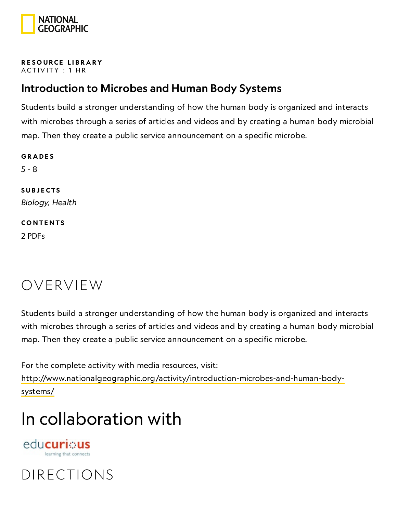

#### RESOURCE LIBRA[RY](https://www.nationalgeographic.org/education/resource-library/) ACTIVITY : 1 HR

### Introduction to Microbes and Human Body Systems

Students build a stronger understanding of how the human body is organized and interacts with microbes through a series of articles and videos and by creating a human body microbial map. Then they create a public service announcement on a specific microbe.

**GRADES** 5 - 8 **SUBJECTS** Biology, Health **CONTENTS** 2 PDFs

### OVERVIEW

Students build a stronger understanding of how the human body is organized and interacts with microbes through a series of articles and videos and by creating a human body microbial map. Then they create a public service announcement on a specific microbe.

For the complete activity with media resources, visit: [http://www.nationalgeographic.org/activity/introduction-microbes-and-human-body](http://www.nationalgeographic.org/activity/introduction-microbes-and-human-body-systems/)systems/

## In collaboration with

edu**curi**: us learning that connects

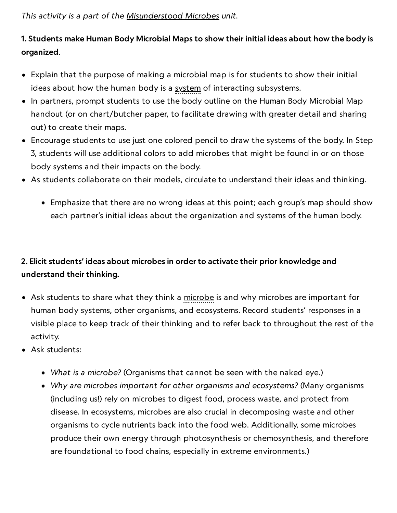This activity is a part of the [Misunderstood](https://www.nationalgeographic.org/unit/misunderstood-microbes/) Microbes unit.

### 1. Students make Human Body Microbial Maps to show their initial ideas about how the body is organized.

- Explain that the purpose of making a microbial map is for students to show their initial ideas about how the human body is a system of interacting subsystems.
- In partners, prompt students to use the body outline on the Human Body Microbial Map handout (or on chart/butcher paper, to facilitate drawing with greater detail and sharing out) to create their maps.
- Encourage students to use just one colored pencil to draw the systems of the body. In Step 3, students will use additional colors to add microbes that might be found in or on those body systems and their impacts on the body.
- As students collaborate on their models, circulate to understand their ideas and thinking.
	- Emphasize that there are no wrong ideas at this point; each group's map should show each partner's initial ideas about the organization and systems of the human body.

### 2. Elicit students' ideas about microbes in order to activate their prior knowledge and understand their thinking.

- Ask students to share what they think a microbe is and why microbes are important for human body systems, other organisms, and ecosystems. Record students' responses in a visible place to keep track of their thinking and to refer back to throughout the rest of the activity.
- Ask students:
	- What is a microbe? (Organisms that cannot be seen with the naked eye.)
	- Why are microbes important for other organisms and ecosystems? (Many organisms (including us!) rely on microbes to digest food, process waste, and protect from disease. In ecosystems, microbes are also crucial in decomposing waste and other organisms to cycle nutrients back into the food web. Additionally, some microbes produce their own energy through photosynthesis or chemosynthesis, and therefore are foundational to food chains, especially in extreme environments.)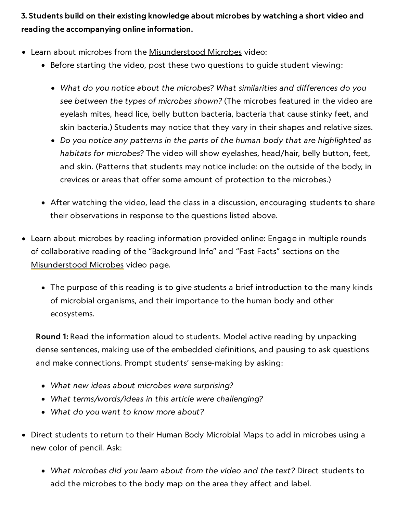3. Students build on their existing knowledge about microbes by watching a short video and reading the accompanying online information.

- Learn about microbes from the [Misunderstood](https://www.nationalgeographic.org/media/misunderstood-microbes/) Microbes video:
	- Before starting the video, post these two questions to guide student viewing:
		- What do you notice about the microbes? What similarities and differences do you see between the types of microbes shown? (The microbes featured in the video are eyelash mites, head lice, belly button bacteria, bacteria that cause stinky feet, and skin bacteria.) Students may notice that they vary in their shapes and relative sizes.
		- Do you notice any patterns in the parts of the human body that are highlighted as habitats for microbes? The video will show eyelashes, head/hair, belly button, feet, and skin. (Patterns that students may notice include: on the outside of the body, in crevices or areas that offer some amount of protection to the microbes.)
	- After watching the video, lead the class in a discussion, encouraging students to share their observations in response to the questions listed above.
- Learn about microbes by reading information provided online: Engage in multiple rounds of collaborative reading of the "Background Info" and "Fast Facts" sections on the [Misunderstood](https://www.nationalgeographic.org/media/misunderstood-microbes/) Microbes video page.
	- The purpose of this reading is to give students a brief introduction to the many kinds of microbial organisms, and their importance to the human body and other ecosystems.

Round 1: Read the information aloud to students. Model active reading by unpacking dense sentences, making use of the embedded definitions, and pausing to ask questions and make connections. Prompt students' sense-making by asking:

- What new ideas about microbes were surprising?
- What terms/words/ideas in this article were challenging?
- What do you want to know more about?
- Direct students to return to their Human Body Microbial Maps to add in microbes using a new color of pencil. Ask:
	- What microbes did you learn about from the video and the text? Direct students to add the microbes to the body map on the area they affect and label.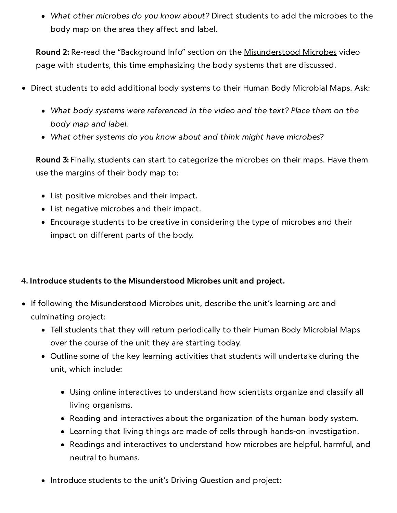What other microbes do you know about? Direct students to add the microbes to the body map on the area they affect and label.

Round 2: Re-read the "Background Info" section on the [Misunderstood](https://www.nationalgeographic.org/media/misunderstood-microbes/) Microbes video page with students, this time emphasizing the body systems that are discussed.

- Direct students to add additional body systems to their Human Body Microbial Maps. Ask:
	- What body systems were referenced in the video and the text? Place them on the body map and label.
	- What other systems do you know about and think might have microbes?

Round 3: Finally, students can start to categorize the microbes on their maps. Have them use the margins of their body map to:

- List positive microbes and their impact.
- List negative microbes and their impact.
- Encourage students to be creative in considering the type of microbes and their impact on different parts of the body.

#### 4. Introduce students to the Misunderstood Microbes unit and project.

- If following the Misunderstood Microbes unit, describe the unit's learning arc and culminating project:
	- Tell students that they will return periodically to their Human Body Microbial Maps over the course of the unit they are starting today.
	- Outline some of the key learning activities that students will undertake during the unit, which include:
		- Using online interactives to understand how scientists organize and classify all living organisms.
		- Reading and interactives about the organization of the human body system.
		- Learning that living things are made of cells through hands-on investigation.
		- Readings and interactives to understand how microbes are helpful, harmful, and neutral to humans.
	- Introduce students to the unit's Driving Question and project: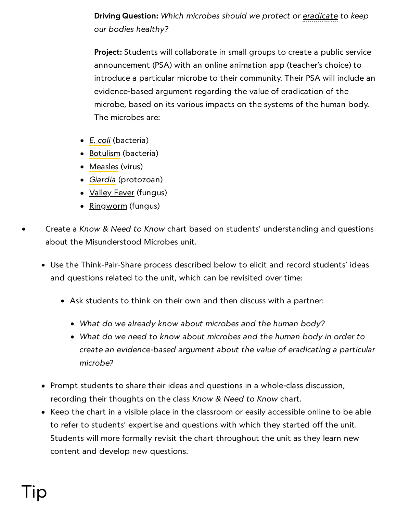### Driving Question: Which microbes should we protect or <u>eradicate</u> to keep our bodies healthy?

Project: Students will collaborate in small groups to create a public service announcement (PSA) with an online animation app (teacher's choice) to introduce a particular microbe to their community. Their PSA will include an evidence-based argument regarding the value of eradication of the microbe, based on its various impacts on the systems of the human body. The microbes are:

- [E. coli](https://www.cdc.gov/ecoli/index.html) (bacteria)
- [Botulism](https://www.cdc.gov/botulism/general.html) (bacteria)
- [Measles](https://www.cdc.gov/measles/about/index.html) (virus)
- *[Giardia](https://www.cdc.gov/parasites/giardia/index.html)* (protozoan)
- **[Valley](https://www.cdc.gov/fungal/diseases/coccidioidomycosis/index.html) Fever** (fungus)
- <u>[Ringworm](https://www.cdc.gov/fungal/diseases/ringworm/index.html)</u> (fungus)
- Create a Know & Need to Know chart based on students' understanding and questions about the Misunderstood Microbes unit.
	- Use the Think-Pair-Share process described below to elicit and record students' ideas and questions related to the unit, which can be revisited over time:
		- Ask students to think on their own and then discuss with a partner:
			- What do we already know about microbes and the human body?
			- What do we need to know about microbes and the human body in order to create an evidence-based argument about the value of eradicating a particular microbe?
	- Prompt students to share their ideas and questions in a whole-class discussion, recording their thoughts on the class Know & Need to Know chart.
	- Keep the chart in a visible place in the classroom or easily accessible online to be able to refer to students' expertise and questions with which they started off the unit. Students will more formally revisit the chart throughout the unit as they learn new content and develop new questions.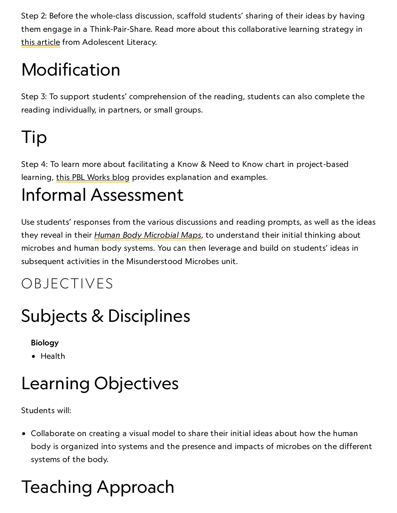Step 2: Before the whole-class discussion, scaffold students' sharing of their ideas by having them engage in a Think-Pair-Share. Read more about this collaborative learning strategy in this [article](http://www.adlit.org/strategies/23277/) from Adolescent Literacy.

# Modification

Step 3: To support students' comprehension of the reading, students can also complete the reading individually, in partners, or small groups.

# Tip

Step 4: To learn more about facilitating a Know & Need to Know chart in project-based learning, this PBL [Works](https://www.pblworks.org/blog/using-need-know-list-planning-assessment-tool) blog provides explanation and examples.

## Informal Assessment

Use students' responses from the various discussions and reading prompts, as well as the ideas they reveal in their Human Body [Microbial](https://media.nationalgeographic.org/assets/file/HumanBodyMicrobialMap.pdf) Maps, to understand their initial thinking about microbes and human body systems. You can then leverage and build on students' ideas in subsequent activities in the Misunderstood Microbes unit.

### OBJECTIVES

## Subjects & Disciplines

#### Biology

• Health

## Learning Objectives

Students will:

Collaborate on creating a visual model to share their initial ideas about how the human body is organized into systems and the presence and impacts of microbes on the different systems of the body.

# Teaching Approach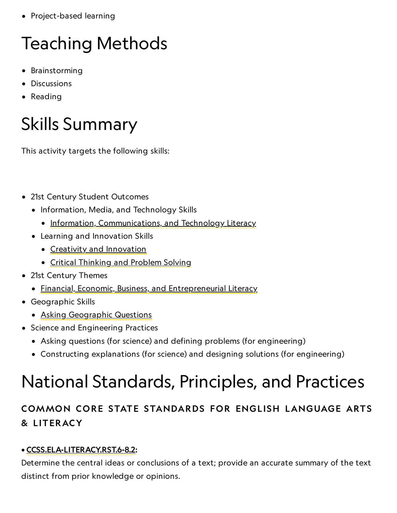• Project-based learning

# Teaching Methods

- **•** Brainstorming
- Discussions
- Reading

## Skills Summary

This activity targets the following skills:

- 21st Century Student Outcomes
	- Information, Media, and Technology Skills
		- [Information, Communications, and](http://www.p21.org/index.php?option=com_content&task=view&id=350&Itemid=120) Technology Literacy
	- Learning and Innovation Skills
		- Creativity and [Innovation](http://www.p21.org/index.php?option=com_content&task=view&id=262&Itemid=120)
		- Critical [Thinking](http://www.p21.org/index.php?option=com_content&task=view&id=260&Itemid=120) and Problem Solving
- 21st Century Themes
	- [Financial, Economic, Business, and](http://www.p21.org/index.php?option=com_content&task=view&id=257&Itemid=120) Entrepreneurial Literacy
- Geographic Skills
	- Asking [Geographic](http://education.nationalgeographic.com/education/geographic-skills/1/?ar_a=1) Questions
- Science and Engineering Practices
	- Asking questions (for science) and defining problems (for engineering)
	- Constructing explanations (for science) and designing solutions (for engineering)

## National Standards, Principles, and Practices

### COMMON CORE STATE STANDARDS FOR ENGLISH LANGUAGE ARTS & L ITERACY

#### • [CCSS.ELA-LITERACY.RST.6-8.2:](http://www.corestandards.org/ELA-Literacy/RST/6-8/)

Determine the central ideas or conclusions of a text; provide an accurate summary of the text distinct from prior knowledge or opinions.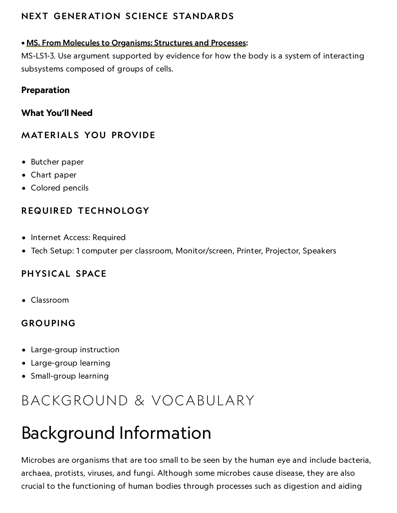### NEXT GENERATION SCIENCE STANDARDS

#### • MS. From Molecules to [Organisms:](https://www.nextgenscience.org/dci-arrangement/ms-ls1-molecules-organisms-structures-and-processes) Structures and Processes:

MS-LS1-3. Use argument supported by evidence for how the body is a system of interacting subsystems composed of groups of cells.

#### Preparation

What You'll Need

#### **MATERIALS YOU PROVIDE**

- Butcher paper
- Chart paper
- Colored pencils

#### REQUIRED TECHNOLOGY

- Internet Access: Required
- Tech Setup: 1 computer per classroom, Monitor/screen, Printer, Projector, Speakers

#### PHYSICAL SPACE

Classroom

#### GROUPING

- Large-group instruction
- Large-group learning
- Small-group learning

### BACKGROUND & VOCABULARY

## Background Information

Microbes are organisms that are too small to be seen by the human eye and include bacteria, archaea, protists, viruses, and fungi. Although some microbes cause disease, they are also crucial to the functioning of human bodies through processes such as digestion and aiding